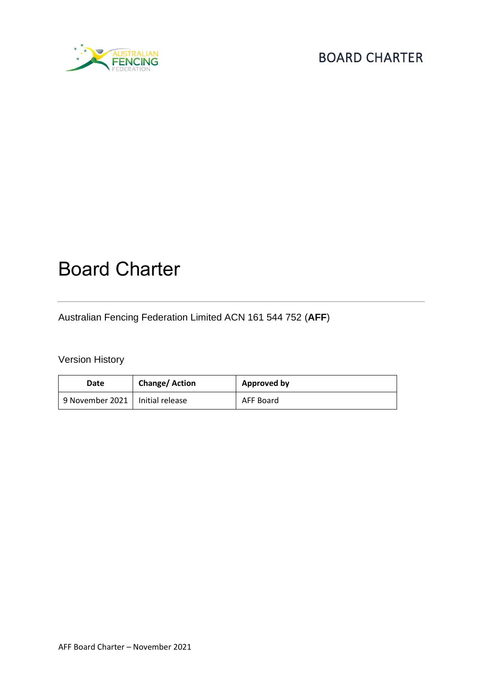

# Board Charter

Australian Fencing Federation Limited ACN 161 544 752 (**AFF**)

Version History

| Date                              | <b>Change/Action</b> | <b>Approved by</b> |
|-----------------------------------|----------------------|--------------------|
| 9 November 2021   Initial release |                      | AFF Board          |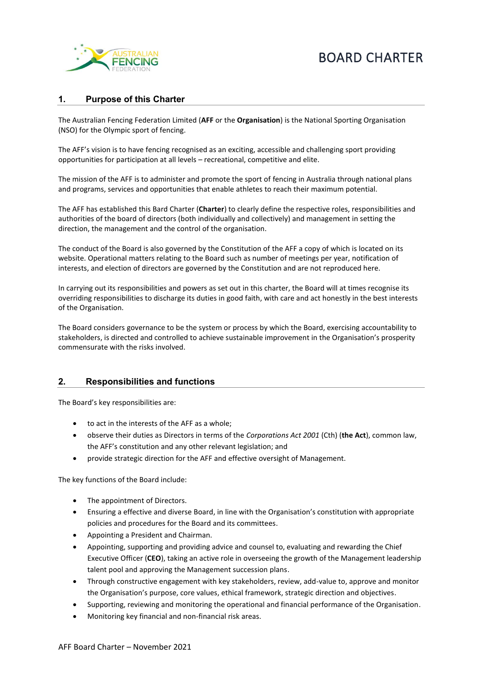

#### **1. Purpose of this Charter**

The Australian Fencing Federation Limited (**AFF** or the **Organisation**) is the National Sporting Organisation (NSO) for the Olympic sport of fencing.

The AFF's vision is to have fencing recognised as an exciting, accessible and challenging sport providing opportunities for participation at all levels – recreational, competitive and elite.

The mission of the AFF is to administer and promote the sport of fencing in Australia through national plans and programs, services and opportunities that enable athletes to reach their maximum potential.

The AFF has established this Bard Charter (**Charter**) to clearly define the respective roles, responsibilities and authorities of the board of directors (both individually and collectively) and management in setting the direction, the management and the control of the organisation.

The conduct of the Board is also governed by the Constitution of the AFF a copy of which is located on its website. Operational matters relating to the Board such as number of meetings per year, notification of interests, and election of directors are governed by the Constitution and are not reproduced here.

In carrying out its responsibilities and powers as set out in this charter, the Board will at times recognise its overriding responsibilities to discharge its duties in good faith, with care and act honestly in the best interests of the Organisation.

The Board considers governance to be the system or process by which the Board, exercising accountability to stakeholders, is directed and controlled to achieve sustainable improvement in the Organisation's prosperity commensurate with the risks involved.

#### **2. Responsibilities and functions**

The Board's key responsibilities are:

- to act in the interests of the AFF as a whole;
- observe their duties as Directors in terms of the *Corporations Act 2001* (Cth) (**the Act**), common law, the AFF's constitution and any other relevant legislation; and
- provide strategic direction for the AFF and effective oversight of Management.

The key functions of the Board include:

- The appointment of Directors.
- Ensuring a effective and diverse Board, in line with the Organisation's constitution with appropriate policies and procedures for the Board and its committees.
- Appointing a President and Chairman.
- Appointing, supporting and providing advice and counsel to, evaluating and rewarding the Chief Executive Officer (**CEO**), taking an active role in overseeing the growth of the Management leadership talent pool and approving the Management succession plans.
- Through constructive engagement with key stakeholders, review, add-value to, approve and monitor the Organisation's purpose, core values, ethical framework, strategic direction and objectives.
- Supporting, reviewing and monitoring the operational and financial performance of the Organisation.
- Monitoring key financial and non-financial risk areas.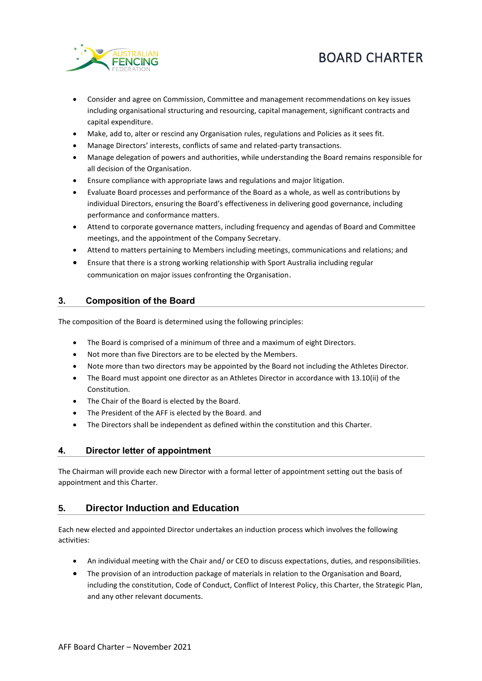



- Consider and agree on Commission, Committee and management recommendations on key issues including organisational structuring and resourcing, capital management, significant contracts and capital expenditure.
- Make, add to, alter or rescind any Organisation rules, regulations and Policies as it sees fit.
- Manage Directors' interests, conflicts of same and related-party transactions.
- Manage delegation of powers and authorities, while understanding the Board remains responsible for all decision of the Organisation.
- Ensure compliance with appropriate laws and regulations and major litigation.
- Evaluate Board processes and performance of the Board as a whole, as well as contributions by individual Directors, ensuring the Board's effectiveness in delivering good governance, including performance and conformance matters.
- Attend to corporate governance matters, including frequency and agendas of Board and Committee meetings, and the appointment of the Company Secretary.
- Attend to matters pertaining to Members including meetings, communications and relations; and
- Ensure that there is a strong working relationship with Sport Australia including regular communication on major issues confronting the Organisation.

#### **3. Composition of the Board**

The composition of the Board is determined using the following principles:

- The Board is comprised of a minimum of three and a maximum of eight Directors.
- Not more than five Directors are to be elected by the Members.
- Note more than two directors may be appointed by the Board not including the Athletes Director.
- The Board must appoint one director as an Athletes Director in accordance with 13.10(ii) of the Constitution.
- The Chair of the Board is elected by the Board.
- The President of the AFF is elected by the Board. and
- The Directors shall be independent as defined within the constitution and this Charter.

#### **4. Director letter of appointment**

The Chairman will provide each new Director with a formal letter of appointment setting out the basis of appointment and this Charter.

#### **5. Director Induction and Education**

Each new elected and appointed Director undertakes an induction process which involves the following activities:

- An individual meeting with the Chair and/ or CEO to discuss expectations, duties, and responsibilities.
- The provision of an introduction package of materials in relation to the Organisation and Board, including the constitution, Code of Conduct, Conflict of Interest Policy, this Charter, the Strategic Plan, and any other relevant documents.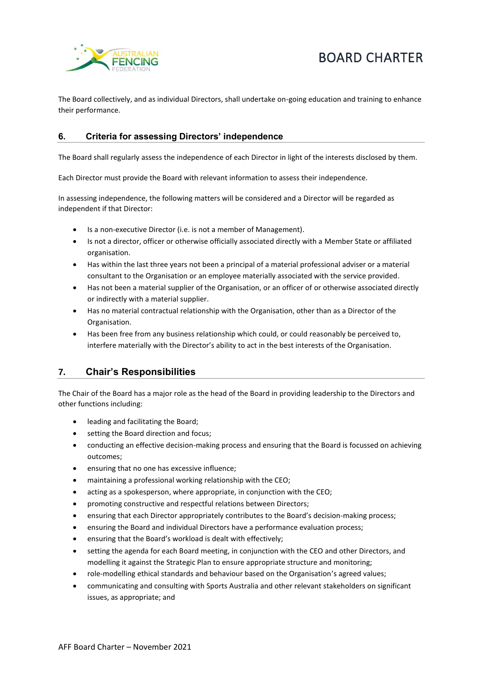



The Board collectively, and as individual Directors, shall undertake on-going education and training to enhance their performance.

#### **6. Criteria for assessing Directors' independence**

The Board shall regularly assess the independence of each Director in light of the interests disclosed by them.

Each Director must provide the Board with relevant information to assess their independence.

In assessing independence, the following matters will be considered and a Director will be regarded as independent if that Director:

- Is a non-executive Director (i.e. is not a member of Management).
- Is not a director, officer or otherwise officially associated directly with a Member State or affiliated organisation.
- Has within the last three years not been a principal of a material professional adviser or a material consultant to the Organisation or an employee materially associated with the service provided.
- Has not been a material supplier of the Organisation, or an officer of or otherwise associated directly or indirectly with a material supplier.
- Has no material contractual relationship with the Organisation, other than as a Director of the Organisation.
- Has been free from any business relationship which could, or could reasonably be perceived to, interfere materially with the Director's ability to act in the best interests of the Organisation.

# **7. Chair's Responsibilities**

The Chair of the Board has a major role as the head of the Board in providing leadership to the Directors and other functions including:

- leading and facilitating the Board;
- setting the Board direction and focus;
- conducting an effective decision-making process and ensuring that the Board is focussed on achieving outcomes;
- ensuring that no one has excessive influence;
- maintaining a professional working relationship with the CEO;
- acting as a spokesperson, where appropriate, in conjunction with the CEO;
- promoting constructive and respectful relations between Directors;
- ensuring that each Director appropriately contributes to the Board's decision-making process;
- ensuring the Board and individual Directors have a performance evaluation process;
- ensuring that the Board's workload is dealt with effectively;
- setting the agenda for each Board meeting, in conjunction with the CEO and other Directors, and modelling it against the Strategic Plan to ensure appropriate structure and monitoring;
- role-modelling ethical standards and behaviour based on the Organisation's agreed values;
- communicating and consulting with Sports Australia and other relevant stakeholders on significant issues, as appropriate; and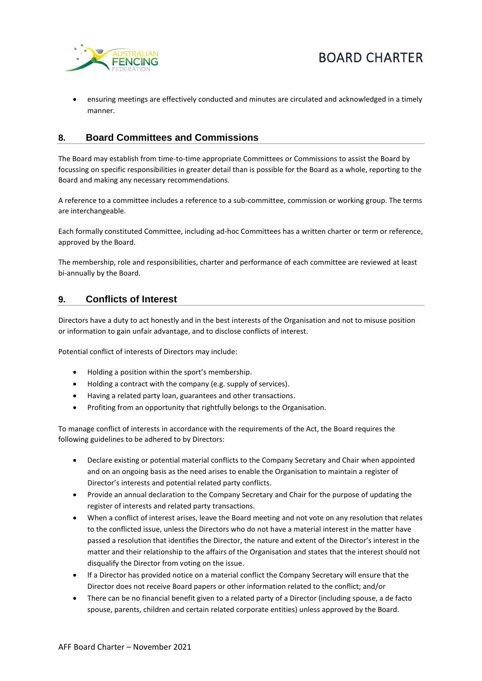

• ensuring meetings are effectively conducted and minutes are circulated and acknowledged in a timely manner.

# **8. Board Committees and Commissions**

The Board may establish from time-to-time appropriate Committees or Commissions to assist the Board by focussing on specific responsibilities in greater detail than is possible for the Board as a whole, reporting to the Board and making any necessary recommendations.

A reference to a committee includes a reference to a sub-committee, commission or working group. The terms are interchangeable.

Each formally constituted Committee, including ad-hoc Committees has a written charter or term or reference, approved by the Board.

The membership, role and responsibilities, charter and performance of each committee are reviewed at least bi-annually by the Board.

#### **9. Conflicts of Interest**

Directors have a duty to act honestly and in the best interests of the Organisation and not to misuse position or information to gain unfair advantage, and to disclose conflicts of interest.

Potential conflict of interests of Directors may include:

- Holding a position within the sport's membership.
- Holding a contract with the company (e.g. supply of services).
- Having a related party loan, guarantees and other transactions.
- Profiting from an opportunity that rightfully belongs to the Organisation.

To manage conflict of interests in accordance with the requirements of the Act, the Board requires the following guidelines to be adhered to by Directors:

- Declare existing or potential material conflicts to the Company Secretary and Chair when appointed and on an ongoing basis as the need arises to enable the Organisation to maintain a register of Director's interests and potential related party conflicts.
- Provide an annual declaration to the Company Secretary and Chair for the purpose of updating the register of interests and related party transactions.
- When a conflict of interest arises, leave the Board meeting and not vote on any resolution that relates to the conflicted issue, unless the Directors who do not have a material interest in the matter have passed a resolution that identifies the Director, the nature and extent of the Director's interest in the matter and their relationship to the affairs of the Organisation and states that the interest should not disqualify the Director from voting on the issue.
- If a Director has provided notice on a material conflict the Company Secretary will ensure that the Director does not receive Board papers or other information related to the conflict; and/or
- There can be no financial benefit given to a related party of a Director (including spouse, a de facto spouse, parents, children and certain related corporate entities) unless approved by the Board.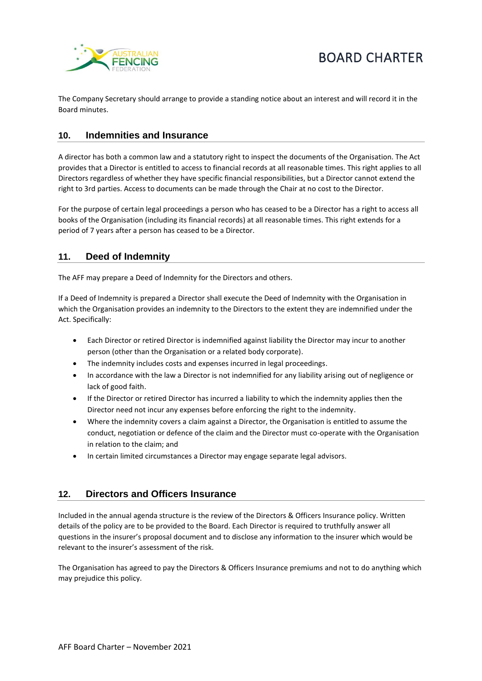

The Company Secretary should arrange to provide a standing notice about an interest and will record it in the Board minutes.

# **10. Indemnities and Insurance**

A director has both a common law and a statutory right to inspect the documents of the Organisation. The Act provides that a Director is entitled to access to financial records at all reasonable times. This right applies to all Directors regardless of whether they have specific financial responsibilities, but a Director cannot extend the right to 3rd parties. Access to documents can be made through the Chair at no cost to the Director.

For the purpose of certain legal proceedings a person who has ceased to be a Director has a right to access all books of the Organisation (including its financial records) at all reasonable times. This right extends for a period of 7 years after a person has ceased to be a Director.

# **11. Deed of Indemnity**

The AFF may prepare a Deed of Indemnity for the Directors and others.

If a Deed of Indemnity is prepared a Director shall execute the Deed of Indemnity with the Organisation in which the Organisation provides an indemnity to the Directors to the extent they are indemnified under the Act. Specifically:

- Each Director or retired Director is indemnified against liability the Director may incur to another person (other than the Organisation or a related body corporate).
- The indemnity includes costs and expenses incurred in legal proceedings.
- In accordance with the law a Director is not indemnified for any liability arising out of negligence or lack of good faith.
- If the Director or retired Director has incurred a liability to which the indemnity applies then the Director need not incur any expenses before enforcing the right to the indemnity.
- Where the indemnity covers a claim against a Director, the Organisation is entitled to assume the conduct, negotiation or defence of the claim and the Director must co-operate with the Organisation in relation to the claim; and
- In certain limited circumstances a Director may engage separate legal advisors.

#### **12. Directors and Officers Insurance**

Included in the annual agenda structure is the review of the Directors & Officers Insurance policy. Written details of the policy are to be provided to the Board. Each Director is required to truthfully answer all questions in the insurer's proposal document and to disclose any information to the insurer which would be relevant to the insurer's assessment of the risk.

The Organisation has agreed to pay the Directors & Officers Insurance premiums and not to do anything which may prejudice this policy.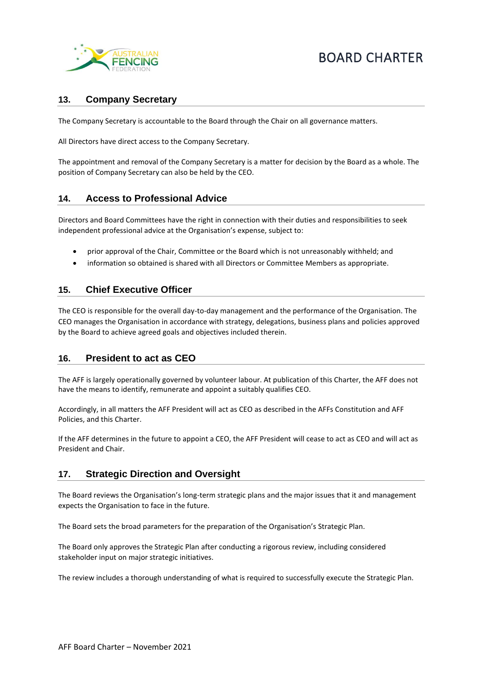

# **13. Company Secretary**

The Company Secretary is accountable to the Board through the Chair on all governance matters.

All Directors have direct access to the Company Secretary.

The appointment and removal of the Company Secretary is a matter for decision by the Board as a whole. The position of Company Secretary can also be held by the CEO.

#### **14. Access to Professional Advice**

Directors and Board Committees have the right in connection with their duties and responsibilities to seek independent professional advice at the Organisation's expense, subject to:

- prior approval of the Chair, Committee or the Board which is not unreasonably withheld; and
- information so obtained is shared with all Directors or Committee Members as appropriate.

#### **15. Chief Executive Officer**

The CEO is responsible for the overall day-to-day management and the performance of the Organisation. The CEO manages the Organisation in accordance with strategy, delegations, business plans and policies approved by the Board to achieve agreed goals and objectives included therein.

#### **16. President to act as CEO**

The AFF is largely operationally governed by volunteer labour. At publication of this Charter, the AFF does not have the means to identify, remunerate and appoint a suitably qualifies CEO.

Accordingly, in all matters the AFF President will act as CEO as described in the AFFs Constitution and AFF Policies, and this Charter.

If the AFF determines in the future to appoint a CEO, the AFF President will cease to act as CEO and will act as President and Chair.

#### **17. Strategic Direction and Oversight**

The Board reviews the Organisation's long-term strategic plans and the major issues that it and management expects the Organisation to face in the future.

The Board sets the broad parameters for the preparation of the Organisation's Strategic Plan.

The Board only approves the Strategic Plan after conducting a rigorous review, including considered stakeholder input on major strategic initiatives.

The review includes a thorough understanding of what is required to successfully execute the Strategic Plan.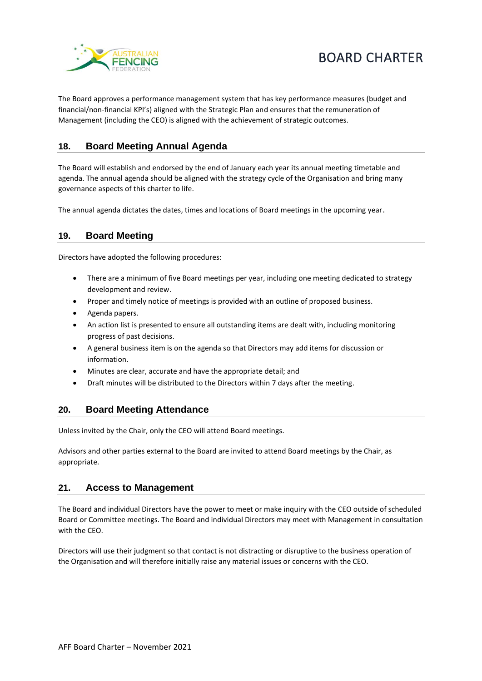

The Board approves a performance management system that has key performance measures (budget and financial/non-financial KPI's) aligned with the Strategic Plan and ensures that the remuneration of Management (including the CEO) is aligned with the achievement of strategic outcomes.

# **18. Board Meeting Annual Agenda**

The Board will establish and endorsed by the end of January each year its annual meeting timetable and agenda. The annual agenda should be aligned with the strategy cycle of the Organisation and bring many governance aspects of this charter to life.

The annual agenda dictates the dates, times and locations of Board meetings in the upcoming year.

# **19. Board Meeting**

Directors have adopted the following procedures:

- There are a minimum of five Board meetings per year, including one meeting dedicated to strategy development and review.
- Proper and timely notice of meetings is provided with an outline of proposed business.
- Agenda papers.
- An action list is presented to ensure all outstanding items are dealt with, including monitoring progress of past decisions.
- A general business item is on the agenda so that Directors may add items for discussion or information.
- Minutes are clear, accurate and have the appropriate detail; and
- Draft minutes will be distributed to the Directors within 7 days after the meeting.

#### **20. Board Meeting Attendance**

Unless invited by the Chair, only the CEO will attend Board meetings.

Advisors and other parties external to the Board are invited to attend Board meetings by the Chair, as appropriate.

#### **21. Access to Management**

The Board and individual Directors have the power to meet or make inquiry with the CEO outside of scheduled Board or Committee meetings. The Board and individual Directors may meet with Management in consultation with the CEO.

Directors will use their judgment so that contact is not distracting or disruptive to the business operation of the Organisation and will therefore initially raise any material issues or concerns with the CEO.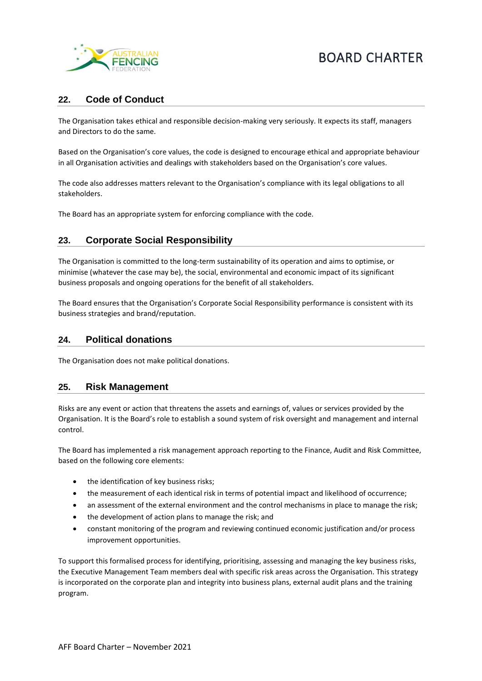

### **22. Code of Conduct**

The Organisation takes ethical and responsible decision-making very seriously. It expects its staff, managers and Directors to do the same.

Based on the Organisation's core values, the code is designed to encourage ethical and appropriate behaviour in all Organisation activities and dealings with stakeholders based on the Organisation's core values.

The code also addresses matters relevant to the Organisation's compliance with its legal obligations to all stakeholders.

The Board has an appropriate system for enforcing compliance with the code.

# **23. Corporate Social Responsibility**

The Organisation is committed to the long-term sustainability of its operation and aims to optimise, or minimise (whatever the case may be), the social, environmental and economic impact of its significant business proposals and ongoing operations for the benefit of all stakeholders.

The Board ensures that the Organisation's Corporate Social Responsibility performance is consistent with its business strategies and brand/reputation.

#### **24. Political donations**

The Organisation does not make political donations.

#### **25. Risk Management**

Risks are any event or action that threatens the assets and earnings of, values or services provided by the Organisation. It is the Board's role to establish a sound system of risk oversight and management and internal control.

The Board has implemented a risk management approach reporting to the Finance, Audit and Risk Committee, based on the following core elements:

- the identification of key business risks;
- the measurement of each identical risk in terms of potential impact and likelihood of occurrence;
- an assessment of the external environment and the control mechanisms in place to manage the risk;
- the development of action plans to manage the risk; and
- constant monitoring of the program and reviewing continued economic justification and/or process improvement opportunities.

To support this formalised process for identifying, prioritising, assessing and managing the key business risks, the Executive Management Team members deal with specific risk areas across the Organisation. This strategy is incorporated on the corporate plan and integrity into business plans, external audit plans and the training program.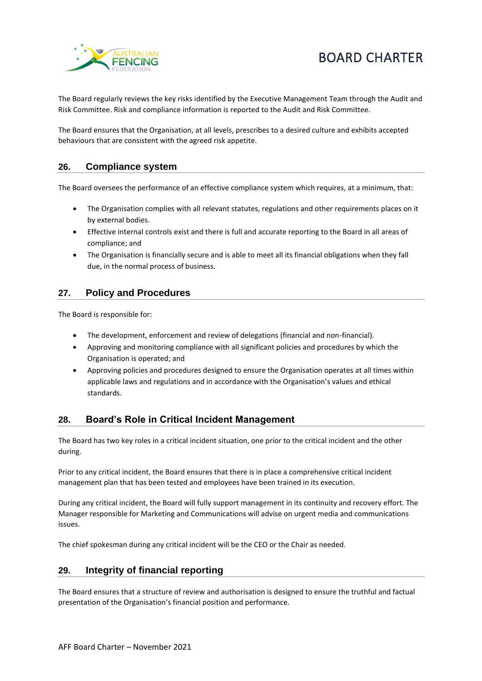



The Board regularly reviews the key risks identified by the Executive Management Team through the Audit and Risk Committee. Risk and compliance information is reported to the Audit and Risk Committee.

The Board ensures that the Organisation, at all levels, prescribes to a desired culture and exhibits accepted behaviours that are consistent with the agreed risk appetite.

#### **26. Compliance system**

The Board oversees the performance of an effective compliance system which requires, at a minimum, that:

- The Organisation complies with all relevant statutes, regulations and other requirements places on it by external bodies.
- Effective internal controls exist and there is full and accurate reporting to the Board in all areas of compliance; and
- The Organisation is financially secure and is able to meet all its financial obligations when they fall due, in the normal process of business.

#### **27. Policy and Procedures**

The Board is responsible for:

- The development, enforcement and review of delegations (financial and non-financial).
- Approving and monitoring compliance with all significant policies and procedures by which the Organisation is operated; and
- Approving policies and procedures designed to ensure the Organisation operates at all times within applicable laws and regulations and in accordance with the Organisation's values and ethical standards.

#### **28. Board's Role in Critical Incident Management**

The Board has two key roles in a critical incident situation, one prior to the critical incident and the other during.

Prior to any critical incident, the Board ensures that there is in place a comprehensive critical incident management plan that has been tested and employees have been trained in its execution.

During any critical incident, the Board will fully support management in its continuity and recovery effort. The Manager responsible for Marketing and Communications will advise on urgent media and communications issues.

The chief spokesman during any critical incident will be the CEO or the Chair as needed.

#### **29. Integrity of financial reporting**

The Board ensures that a structure of review and authorisation is designed to ensure the truthful and factual presentation of the Organisation's financial position and performance.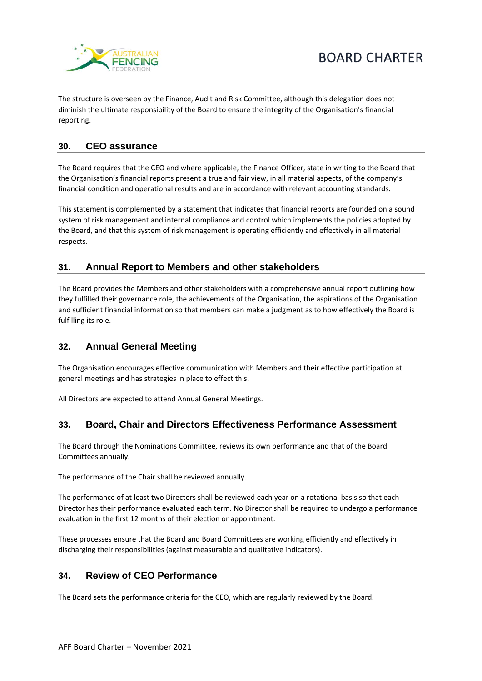



The structure is overseen by the Finance, Audit and Risk Committee, although this delegation does not diminish the ultimate responsibility of the Board to ensure the integrity of the Organisation's financial reporting.

# **30. CEO assurance**

The Board requires that the CEO and where applicable, the Finance Officer, state in writing to the Board that the Organisation's financial reports present a true and fair view, in all material aspects, of the company's financial condition and operational results and are in accordance with relevant accounting standards.

This statement is complemented by a statement that indicates that financial reports are founded on a sound system of risk management and internal compliance and control which implements the policies adopted by the Board, and that this system of risk management is operating efficiently and effectively in all material respects.

# **31. Annual Report to Members and other stakeholders**

The Board provides the Members and other stakeholders with a comprehensive annual report outlining how they fulfilled their governance role, the achievements of the Organisation, the aspirations of the Organisation and sufficient financial information so that members can make a judgment as to how effectively the Board is fulfilling its role.

# **32. Annual General Meeting**

The Organisation encourages effective communication with Members and their effective participation at general meetings and has strategies in place to effect this.

All Directors are expected to attend Annual General Meetings.

#### **33. Board, Chair and Directors Effectiveness Performance Assessment**

The Board through the Nominations Committee, reviews its own performance and that of the Board Committees annually.

The performance of the Chair shall be reviewed annually.

The performance of at least two Directors shall be reviewed each year on a rotational basis so that each Director has their performance evaluated each term. No Director shall be required to undergo a performance evaluation in the first 12 months of their election or appointment.

These processes ensure that the Board and Board Committees are working efficiently and effectively in discharging their responsibilities (against measurable and qualitative indicators).

#### **34. Review of CEO Performance**

The Board sets the performance criteria for the CEO, which are regularly reviewed by the Board.